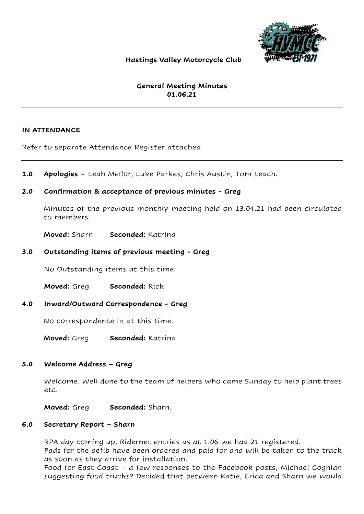

# Hastings Valley Motorcycle Club

# General Meeting Minutes 01.06.21

#### IN ATTENDANCE

Refer to separate Attendance Register attached.

1.0 Apologies – Leah Mellor, Luke Parkes, Chris Austin, Tom Leach.

### 2.0 Confirmation & acceptance of previous minutes - Greg

Minutes of the previous monthly meeting held on 13.04.21 had been circulated to members.

Moved: Sharn Seconded: Katrina

### 3.0 Outstanding items of previous meeting - Greg

No Outstanding items at this time.

Moved: Greg Seconded: Rick

#### 4.0 Inward/Outward Correspondence - Greg

No correspondence in at this time.

Moved: Greg Seconded: Katrina

#### 5.0 Welcome Address – Greg

Welcome. Well done to the team of helpers who came Sunday to help plant trees etc.

Moved: Greg Seconded: Sharn.

#### 6.0 Secretary Report – Sharn

RPA day coming up, Ridernet entries as at 1.06 we had 21 registered.

Pads for the defib have been ordered and paid for and will be taken to the track as soon as they arrive for installation.

Food for East Coast – a few responses to the Facebook posts, Michael Coghlan suggesting food trucks? Decided that between Katie, Erica and Sharn we would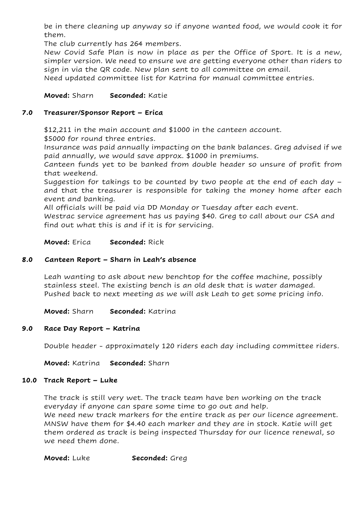be in there cleaning up anyway so if anyone wanted food, we would cook it for them.

The club currently has 264 members.

New Covid Safe Plan is now in place as per the Office of Sport. It is a new, simpler version. We need to ensure we are getting everyone other than riders to sign in via the QR code. New plan sent to all committee on email.

Need updated committee list for Katrina for manual committee entries.

# Moved: Sharn Seconded: Katie

#### 7.0 Treasurer/Sponsor Report – Erica

\$12,211 in the main account and \$1000 in the canteen account.

\$5000 for round three entries.

Insurance was paid annually impacting on the bank balances. Greg advised if we paid annually, we would save approx. \$1000 in premiums.

Canteen funds yet to be banked from double header so unsure of profit from that weekend.

Suggestion for takings to be counted by two people at the end of each day – and that the treasurer is responsible for taking the money home after each event and banking.

All officials will be paid via DD Monday or Tuesday after each event.

Westrac service agreement has us paying \$40. Greg to call about our CSA and find out what this is and if it is for servicing.

Moved: Erica Seconded: Rick

# 8.0 Canteen Report – Sharn in Leah's absence

Leah wanting to ask about new benchtop for the coffee machine, possibly stainless steel. The existing bench is an old desk that is water damaged. Pushed back to next meeting as we will ask Leah to get some pricing info.

Moved: Sharn Seconded: Katrina

# 9.0 Race Day Report – Katrina

Double header - approximately 120 riders each day including committee riders.

Moved: Katrina Seconded: Sharn

#### 10.0 Track Report – Luke

The track is still very wet. The track team have ben working on the track everyday if anyone can spare some time to go out and help. We need new track markers for the entire track as per our licence agreement. MNSW have them for \$4.40 each marker and they are in stock. Katie will get them ordered as track is being inspected Thursday for our licence renewal, so we need them done.

Moved: Luke Seconded: Greg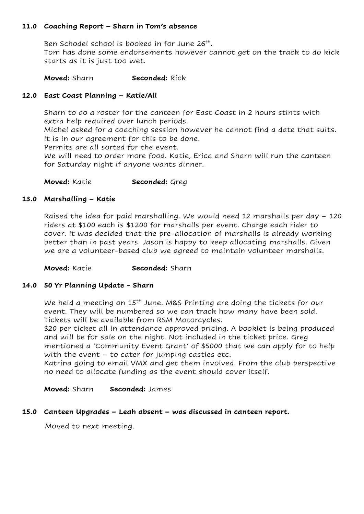# 11.0 Coaching Report – Sharn in Tom's absence

Ben Schodel school is booked in for June 26<sup>th</sup>. Tom has done some endorsements however cannot get on the track to do kick starts as it is just too wet.

#### Moved: Sharn Seconded: Rick

### 12.0 East Coast Planning – Katie/All

Sharn to do a roster for the canteen for East Coast in 2 hours stints with extra help required over lunch periods.

Michel asked for a coaching session however he cannot find a date that suits. It is in our agreement for this to be done.

Permits are all sorted for the event.

We will need to order more food. Katie, Erica and Sharn will run the canteen for Saturday night if anyone wants dinner.

Moved: Katie Seconded: Greg

#### 13.0 Marshalling – Katie

Raised the idea for paid marshalling. We would need 12 marshalls per day – 120 riders at \$100 each is \$1200 for marshalls per event. Charge each rider to cover. It was decided that the pre-allocation of marshalls is already working better than in past years. Jason is happy to keep allocating marshalls. Given we are a volunteer-based club we agreed to maintain volunteer marshalls.

Moved: Katie Seconded: Sharn

#### 14.0 50 Yr Planning Update - Sharn

We held a meeting on 15<sup>th</sup> June. M&S Printing are doing the tickets for our event. They will be numbered so we can track how many have been sold. Tickets will be available from RSM Motorcycles.

\$20 per ticket all in attendance approved pricing. A booklet is being produced and will be for sale on the night. Not included in the ticket price. Greg mentioned a 'Community Event Grant' of \$5000 that we can apply for to help with the event – to cater for jumping castles etc.

Katrina going to email VMX and get them involved. From the club perspective no need to allocate funding as the event should cover itself.

Moved: Sharn Seconded: James

#### 15.0 Canteen Upgrades – Leah absent – was discussed in canteen report.

Moved to next meeting.